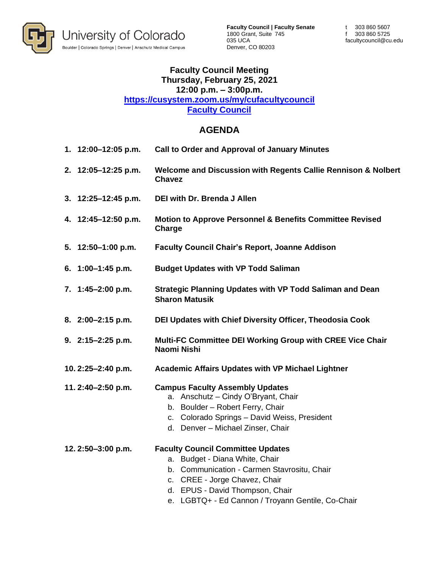

## **Faculty Council Meeting Thursday, February 25, 2021 12:00 p.m. – 3:00p.m. https://cusystem.zoom.us/my/cufacultycouncil Faculty Council**

## **AGENDA**

| 1. 12:00-12:05 p.m. | <b>Call to Order and Approval of January Minutes</b>                                                                                                                                                                                               |
|---------------------|----------------------------------------------------------------------------------------------------------------------------------------------------------------------------------------------------------------------------------------------------|
| 2. 12:05-12:25 p.m. | Welcome and Discussion with Regents Callie Rennison & Nolbert<br><b>Chavez</b>                                                                                                                                                                     |
| 3. 12:25-12:45 p.m. | <b>DEI with Dr. Brenda J Allen</b>                                                                                                                                                                                                                 |
| 4. 12:45-12:50 p.m. | <b>Motion to Approve Personnel &amp; Benefits Committee Revised</b><br>Charge                                                                                                                                                                      |
| 5. 12:50-1:00 p.m.  | <b>Faculty Council Chair's Report, Joanne Addison</b>                                                                                                                                                                                              |
| 6. 1:00-1:45 p.m.   | <b>Budget Updates with VP Todd Saliman</b>                                                                                                                                                                                                         |
| 7. 1:45-2:00 p.m.   | Strategic Planning Updates with VP Todd Saliman and Dean<br><b>Sharon Matusik</b>                                                                                                                                                                  |
| 8. 2:00-2:15 p.m.   | DEI Updates with Chief Diversity Officer, Theodosia Cook                                                                                                                                                                                           |
| 9. 2:15-2:25 p.m.   | Multi-FC Committee DEI Working Group with CREE Vice Chair<br>Naomi Nishi                                                                                                                                                                           |
| 10.2:25-2:40 p.m.   | <b>Academic Affairs Updates with VP Michael Lightner</b>                                                                                                                                                                                           |
| 11.2:40-2:50 p.m.   | <b>Campus Faculty Assembly Updates</b><br>a. Anschutz - Cindy O'Bryant, Chair<br>b. Boulder - Robert Ferry, Chair<br>c. Colorado Springs - David Weiss, President<br>d. Denver - Michael Zinser, Chair                                             |
| 12.2:50-3:00 p.m.   | <b>Faculty Council Committee Updates</b><br>a. Budget - Diana White, Chair<br>b. Communication - Carmen Stavrositu, Chair<br>c. CREE - Jorge Chavez, Chair<br>d. EPUS - David Thompson, Chair<br>e. LGBTQ+ - Ed Cannon / Troyann Gentile, Co-Chair |